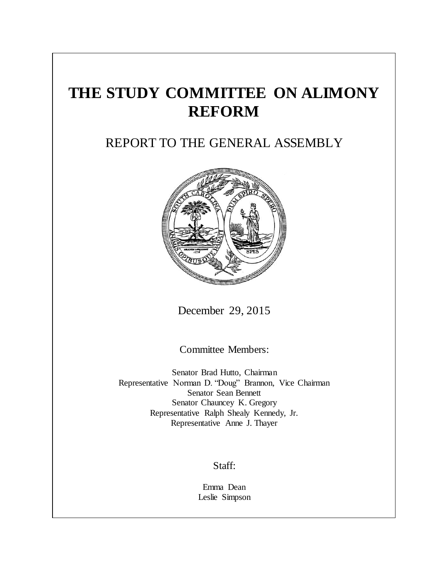# **THE STUDY COMMITTEE ON ALIMONY REFORM**

## REPORT TO THE GENERAL ASSEMBLY



December 29, 2015

Committee Members:

Senator Brad Hutto, Chairman Representative Norman D. "Doug" Brannon, Vice Chairman Senator Sean Bennett Senator Chauncey K. Gregory Representative Ralph Shealy Kennedy, Jr. Representative Anne J. Thayer

### Staff:

Emma Dean Leslie Simpson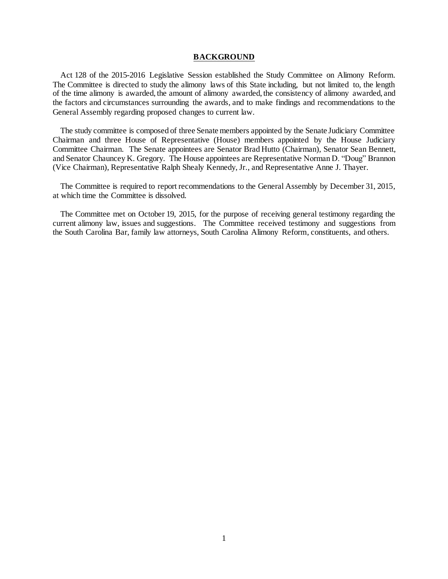#### **BACKGROUND**

Act 128 of the 2015-2016 Legislative Session established the Study Committee on Alimony Reform. The Committee is directed to study the alimony laws of this State including, but not limited to, the length of the time alimony is awarded, the amount of alimony awarded, the consistency of alimony awarded, and the factors and circumstances surrounding the awards, and to make findings and recommendations to the General Assembly regarding proposed changes to current law.

The study committee is composed of three Senate members appointed by the Senate Judiciary Committee Chairman and three House of Representative (House) members appointed by the House Judiciary Committee Chairman. The Senate appointees are Senator Brad Hutto (Chairman), Senator Sean Bennett, and Senator Chauncey K. Gregory. The House appointees are Representative Norman D. "Doug" Brannon (Vice Chairman), Representative Ralph Shealy Kennedy, Jr., and Representative Anne J. Thayer.

The Committee is required to report recommendations to the General Assembly by December 31, 2015, at which time the Committee is dissolved.

The Committee met on October 19, 2015, for the purpose of receiving general testimony regarding the current alimony law, issues and suggestions. The Committee received testimony and suggestions from the South Carolina Bar, family law attorneys, South Carolina Alimony Reform, constituents, and others.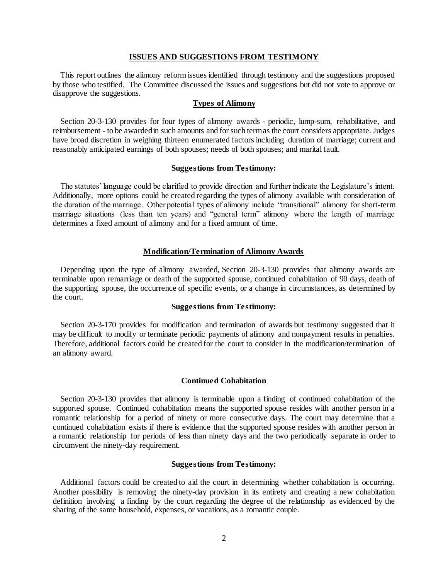#### **ISSUES AND SUGGESTIONS FROM TESTIMONY**

This report outlines the alimony reform issues identified through testimony and the suggestions proposed by those who testified. The Committee discussed the issues and suggestions but did not vote to approve or disapprove the suggestions.

#### **Types of Alimony**

Section 20-3-130 provides for four types of alimony awards - periodic, lump-sum, rehabilitative, and reimbursement - to be awarded in such amounts and for such term as the court considers appropriate. Judges have broad discretion in weighing thirteen enumerated factors including duration of marriage; current and reasonably anticipated earnings of both spouses; needs of both spouses; and marital fault.

#### **Suggestions from Testimony:**

The statutes' language could be clarified to provide direction and further indicate the Legislature's intent. Additionally, more options could be created regarding the types of alimony available with consideration of the duration of the marriage. Other potential types of alimony include "transitional" alimony for short-term marriage situations (less than ten years) and "general term" alimony where the length of marriage determines a fixed amount of alimony and for a fixed amount of time.

#### **Modification/Termination of Alimony Awards**

Depending upon the type of alimony awarded, Section 20-3-130 provides that alimony awards are terminable upon remarriage or death of the supported spouse, continued cohabitation of 90 days, death of the supporting spouse, the occurrence of specific events, or a change in circumstances, as determined by the court.

#### **Suggestions from Testimony:**

Section 20-3-170 provides for modification and termination of awards but testimony suggested that it may be difficult to modify or terminate periodic payments of alimony and nonpayment results in penalties. Therefore, additional factors could be created for the court to consider in the modification/termination of an alimony award.

#### **Continued Cohabitation**

Section 20-3-130 provides that alimony is terminable upon a finding of continued cohabitation of the supported spouse. Continued cohabitation means the supported spouse resides with another person in a romantic relationship for a period of ninety or more consecutive days. The court may determine that a continued cohabitation exists if there is evidence that the supported spouse resides with another person in a romantic relationship for periods of less than ninety days and the two periodically separate in order to circumvent the ninety-day requirement.

#### **Suggestions from Testimony:**

Additional factors could be created to aid the court in determining whether cohabitation is occurring. Another possibility is removing the ninety-day provision in its entirety and creating a new cohabitation definition involving a finding by the court regarding the degree of the relationship as evidenced by the sharing of the same household, expenses, or vacations, as a romantic couple.